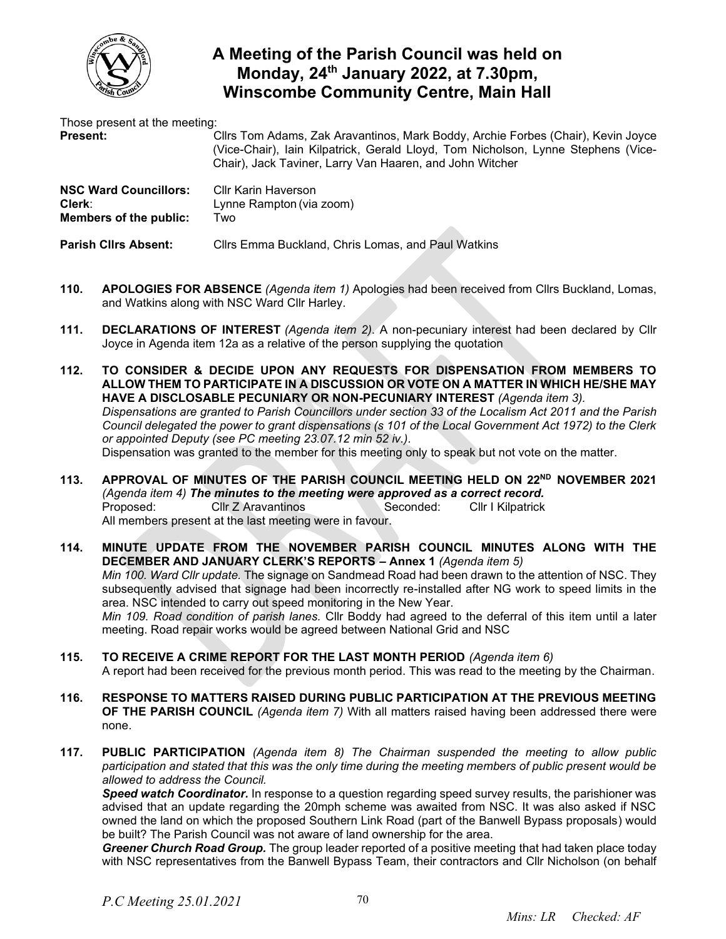

## **A Meeting of the Parish Council was held on Monday, 24 th January 2022, at 7.30pm, Winscombe Community Centre, Main Hall**

Those present at the meeting:

**Present:** Cllrs Tom Adams, Zak Aravantinos, Mark Boddy, Archie Forbes (Chair), Kevin Joyce (Vice-Chair), Iain Kilpatrick, Gerald Lloyd, Tom Nicholson, Lynne Stephens (Vice-Chair), Jack Taviner, Larry Van Haaren, and John Witcher

| <b>NSC Ward Councillors:</b> | Cllr Karin Haverson      |
|------------------------------|--------------------------|
| Clerk:                       | Lynne Rampton (via zoom) |
| Members of the public:       | Two                      |
|                              |                          |

**Parish Cllrs Absent:** Cllrs Emma Buckland, Chris Lomas, and Paul Watkins

- **110. APOLOGIES FOR ABSENCE** *(Agenda item 1)* Apologies had been received from Cllrs Buckland, Lomas, and Watkins along with NSC Ward Cllr Harley.
- **111. DECLARATIONS OF INTEREST** *(Agenda item 2)*. A non-pecuniary interest had been declared by Cllr Joyce in Agenda item 12a as a relative of the person supplying the quotation
- **112. TO CONSIDER & DECIDE UPON ANY REQUESTS FOR DISPENSATION FROM MEMBERS TO ALLOW THEM TO PARTICIPATE IN A DISCUSSION OR VOTE ON A MATTER IN WHICH HE/SHE MAY HAVE A DISCLOSABLE PECUNIARY OR NON-PECUNIARY INTEREST** *(Agenda item 3). Dispensations are granted to Parish Councillors under section 33 of the Localism Act 2011 and the Parish Council delegated the power to grant dispensations (s 101 of the Local Government Act 1972) to the Clerk or appointed Deputy (see PC meeting 23.07.12 min 52 iv.).*  Dispensation was granted to the member for this meeting only to speak but not vote on the matter.
- **113. APPROVAL OF MINUTES OF THE PARISH COUNCIL MEETING HELD ON 22 ND NOVEMBER 2021** *(Agenda item 4) The minutes to the meeting were approved as a correct record.* Proposed: Cllr Z Aravantinos Seconded: Cllr I Kilpatrick All members present at the last meeting were in favour.
- **114. MINUTE UPDATE FROM THE NOVEMBER PARISH COUNCIL MINUTES ALONG WITH THE DECEMBER AND JANUARY CLERK'S REPORTS – Annex 1** *(Agenda item 5) Min 100. Ward Cllr update.* The signage on Sandmead Road had been drawn to the attention of NSC. They subsequently advised that signage had been incorrectly re-installed after NG work to speed limits in the area. NSC intended to carry out speed monitoring in the New Year. *Min 109. Road condition of parish lanes.* Cllr Boddy had agreed to the deferral of this item until a later meeting. Road repair works would be agreed between National Grid and NSC
- **115. TO RECEIVE A CRIME REPORT FOR THE LAST MONTH PERIOD** *(Agenda item 6)*  A report had been received for the previous month period. This was read to the meeting by the Chairman.
- **116. RESPONSE TO MATTERS RAISED DURING PUBLIC PARTICIPATION AT THE PREVIOUS MEETING OF THE PARISH COUNCIL** *(Agenda item 7)* With all matters raised having been addressed there were none.
- **117. PUBLIC PARTICIPATION** *(Agenda item 8) The Chairman suspended the meeting to allow public participation and stated that this was the only time during the meeting members of public present would be allowed to address the Council.*

*Speed watch Coordinator.* In response to a question regarding speed survey results, the parishioner was advised that an update regarding the 20mph scheme was awaited from NSC. It was also asked if NSC owned the land on which the proposed Southern Link Road (part of the Banwell Bypass proposals) would be built? The Parish Council was not aware of land ownership for the area.

*Greener Church Road Group.* The group leader reported of a positive meeting that had taken place today with NSC representatives from the Banwell Bypass Team, their contractors and Cllr Nicholson (on behalf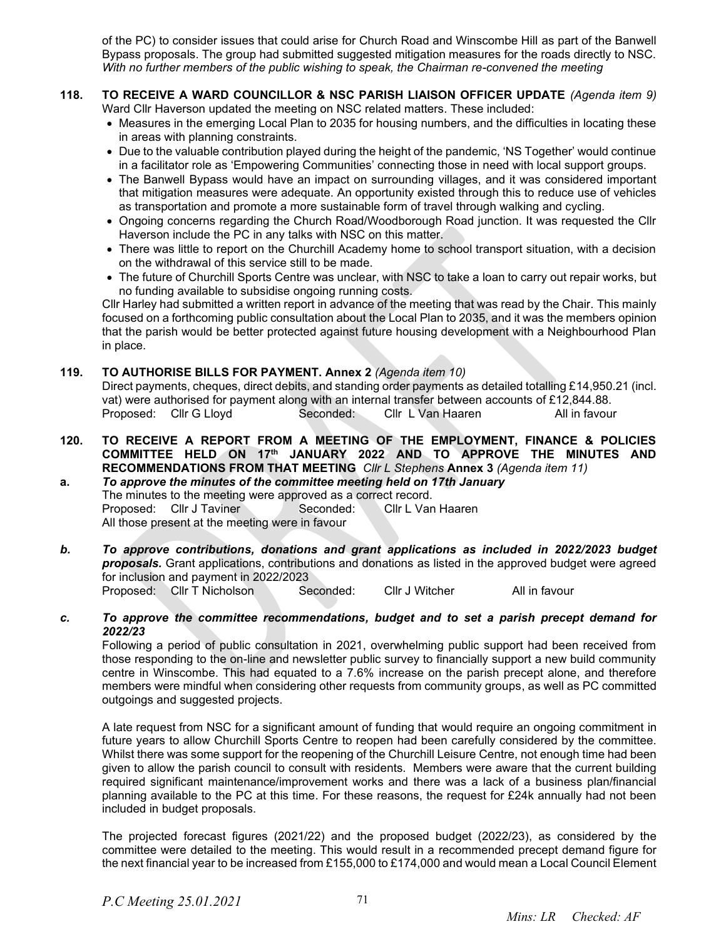of the PC) to consider issues that could arise for Church Road and Winscombe Hill as part of the Banwell Bypass proposals. The group had submitted suggested mitigation measures for the roads directly to NSC. *With no further members of the public wishing to speak, the Chairman re-convened the meeting*

- **118. TO RECEIVE A WARD COUNCILLOR & NSC PARISH LIAISON OFFICER UPDATE** *(Agenda item 9)*  Ward Cllr Haverson updated the meeting on NSC related matters. These included:
	- Measures in the emerging Local Plan to 2035 for housing numbers, and the difficulties in locating these in areas with planning constraints.
	- Due to the valuable contribution played during the height of the pandemic, 'NS Together' would continue in a facilitator role as 'Empowering Communities' connecting those in need with local support groups.
	- The Banwell Bypass would have an impact on surrounding villages, and it was considered important that mitigation measures were adequate. An opportunity existed through this to reduce use of vehicles as transportation and promote a more sustainable form of travel through walking and cycling.
	- Ongoing concerns regarding the Church Road/Woodborough Road junction. It was requested the Cllr Haverson include the PC in any talks with NSC on this matter.
	- There was little to report on the Churchill Academy home to school transport situation, with a decision on the withdrawal of this service still to be made.
	- The future of Churchill Sports Centre was unclear, with NSC to take a loan to carry out repair works, but no funding available to subsidise ongoing running costs.

Cllr Harley had submitted a written report in advance of the meeting that was read by the Chair. This mainly focused on a forthcoming public consultation about the Local Plan to 2035, and it was the members opinion that the parish would be better protected against future housing development with a Neighbourhood Plan in place.

## **119. TO AUTHORISE BILLS FOR PAYMENT. Annex 2** *(Agenda item 10)*

Direct payments, cheques, direct debits, and standing order payments as detailed totalling £14,950.21 (incl. vat) were authorised for payment along with an internal transfer between accounts of £12,844.88. Proposed: Cllr G Lloyd Seconded: Cllr L Van Haaren All in favour

- **120. TO RECEIVE A REPORT FROM A MEETING OF THE EMPLOYMENT, FINANCE & POLICIES COMMITTEE HELD ON 17 th JANUARY 2022 AND TO APPROVE THE MINUTES AND RECOMMENDATIONS FROM THAT MEETING** *Cllr L Stephens* **Annex 3** *(Agenda item 11)*
- **a.** *To approve the minutes of the committee meeting held on 17th January* The minutes to the meeting were approved as a correct record. Proposed: Cllr J Taviner Seconded: Cllr L Van Haaren All those present at the meeting were in favour
- *b. To approve contributions, donations and grant applications as included in 2022/2023 budget proposals.* Grant applications, contributions and donations as listed in the approved budget were agreed for inclusion and payment in 2022/2023 Proposed: Cllr T Nicholson Seconded: Cllr J Witcher All in favour
- *c. To approve the committee recommendations, budget and to set a parish precept demand for 2022/23*

Following a period of public consultation in 2021, overwhelming public support had been received from those responding to the on-line and newsletter public survey to financially support a new build community centre in Winscombe. This had equated to a 7.6% increase on the parish precept alone, and therefore members were mindful when considering other requests from community groups, as well as PC committed outgoings and suggested projects.

A late request from NSC for a significant amount of funding that would require an ongoing commitment in future years to allow Churchill Sports Centre to reopen had been carefully considered by the committee. Whilst there was some support for the reopening of the Churchill Leisure Centre, not enough time had been given to allow the parish council to consult with residents. Members were aware that the current building required significant maintenance/improvement works and there was a lack of a business plan/financial planning available to the PC at this time. For these reasons, the request for £24k annually had not been included in budget proposals.

The projected forecast figures (2021/22) and the proposed budget (2022/23), as considered by the committee were detailed to the meeting. This would result in a recommended precept demand figure for the next financial year to be increased from £155,000 to £174,000 and would mean a Local Council Element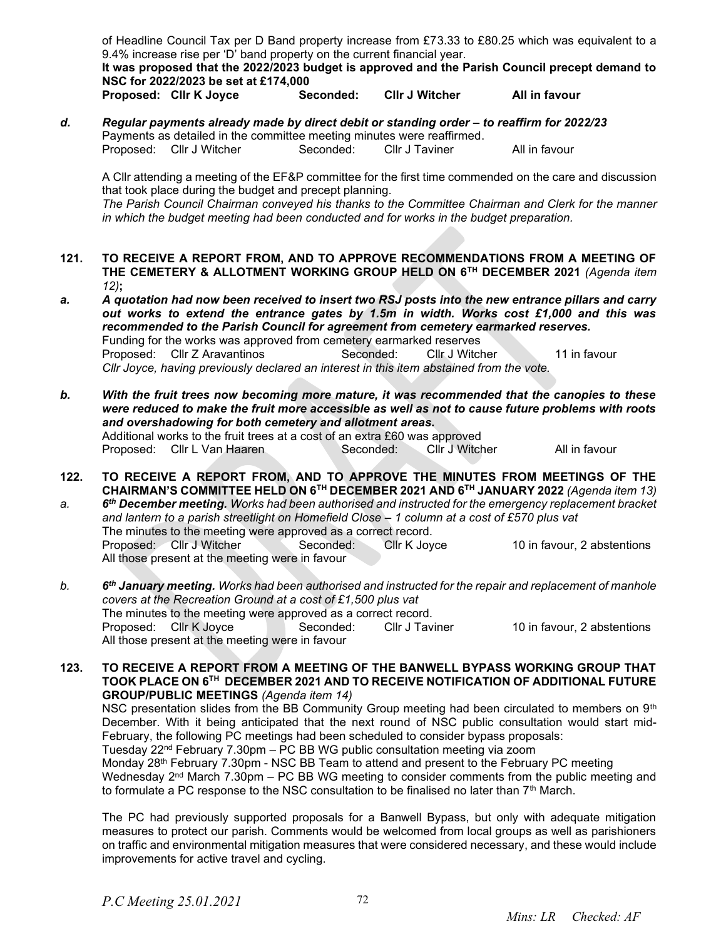of Headline Council Tax per D Band property increase from £73.33 to £80.25 which was equivalent to a 9.4% increase rise per 'D' band property on the current financial year.

**It was proposed that the 2022/2023 budget is approved and the Parish Council precept demand to NSC for 2022/2023 be set at £174,000**

**Proposed: Cllr K Joyce Seconded: Cllr J Witcher All in favour**

d. **Regular payments already made by direct debit or standing order – to reaffirm for 2022/23** Payments as detailed in the committee meeting minutes were reaffirmed.<br>Proposed: Cllr J Witcher Seconded: Cllr J Taviner Proposed: Cllr J Witcher Seconded: Cllr J Taviner All in favour

A Cllr attending a meeting of the EF&P committee for the first time commended on the care and discussion that took place during the budget and precept planning.

*The Parish Council Chairman conveyed his thanks to the Committee Chairman and Clerk for the manner in which the budget meeting had been conducted and for works in the budget preparation.*

- **121. TO RECEIVE A REPORT FROM, AND TO APPROVE RECOMMENDATIONS FROM A MEETING OF THE CEMETERY & ALLOTMENT WORKING GROUP HELD ON 6TH DECEMBER 2021** *(Agenda item 12)***;**
- *a. A quotation had now been received to insert two RSJ posts into the new entrance pillars and carry out works to extend the entrance gates by 1.5m in width. Works cost £1,000 and this was recommended to the Parish Council for agreement from cemetery earmarked reserves.* Funding for the works was approved from cemetery earmarked reserves Proposed: Cllr Z Aravantinos Seconded: Cllr J Witcher 11 in favour *Cllr Joyce, having previously declared an interest in this item abstained from the vote.*
- *b. With the fruit trees now becoming more mature, it was recommended that the canopies to these were reduced to make the fruit more accessible as well as not to cause future problems with roots and overshadowing for both cemetery and allotment areas.* Additional works to the fruit trees at a cost of an extra £60 was approved Proposed: Cllr L Van Haaren Seconded: Cllr J Witcher All in favour
- **122. TO RECEIVE A REPORT FROM, AND TO APPROVE THE MINUTES FROM MEETINGS OF THE CHAIRMAN'S COMMITTEE HELD ON 6TH DECEMBER 2021 AND 6TH JANUARY 2022** *(Agenda item 13) a. 6 th December meeting. Works had been authorised and instructed for the emergency replacement bracket*

*and lantern to a parish streetlight on Homefield Close* **–** *1 column at a cost of £570 plus vat* The minutes to the meeting were approved as a correct record. Proposed: Cllr J Witcher Seconded: Cllr K Joyce 10 in favour, 2 abstentions All those present at the meeting were in favour

*b. 6 th January meeting. Works had been authorised and instructed for the repair and replacement of manhole covers at the Recreation Ground at a cost of £1,500 plus vat*  The minutes to the meeting were approved as a correct record. Proposed: Cllr K Joyce Seconded: Cllr J Taviner 10 in favour, 2 abstentions All those present at the meeting were in favour

**123. TO RECEIVE A REPORT FROM A MEETING OF THE BANWELL BYPASS WORKING GROUP THAT TOOK PLACE ON 6TH DECEMBER 2021 AND TO RECEIVE NOTIFICATION OF ADDITIONAL FUTURE GROUP/PUBLIC MEETINGS** *(Agenda item 14)*

NSC presentation slides from the BB Community Group meeting had been circulated to members on  $9<sup>th</sup>$ December. With it being anticipated that the next round of NSC public consultation would start mid-February, the following PC meetings had been scheduled to consider bypass proposals:

Tuesday 22nd February 7.30pm – PC BB WG public consultation meeting via zoom

Monday 28th February 7.30pm - NSC BB Team to attend and present to the February PC meeting Wednesday  $2<sup>nd</sup>$  March 7.30pm – PC BB WG meeting to consider comments from the public meeting and to formulate a PC response to the NSC consultation to be finalised no later than 7<sup>th</sup> March.

The PC had previously supported proposals for a Banwell Bypass, but only with adequate mitigation measures to protect our parish. Comments would be welcomed from local groups as well as parishioners on traffic and environmental mitigation measures that were considered necessary, and these would include improvements for active travel and cycling.